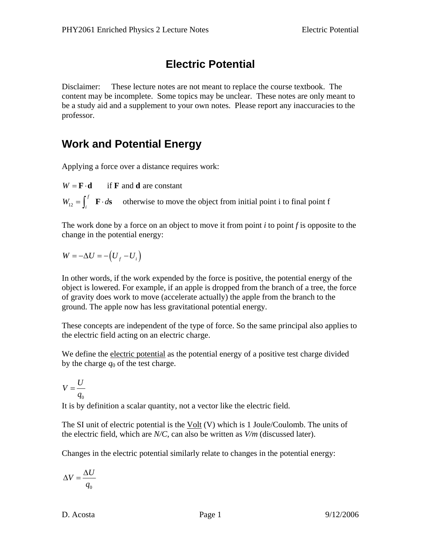## **Electric Potential**

Disclaimer: These lecture notes are not meant to replace the course textbook. The content may be incomplete. Some topics may be unclear. These notes are only meant to be a study aid and a supplement to your own notes. Please report any inaccuracies to the professor.

## **Work and Potential Energy**

Applying a force over a distance requires work:

 $\mathbf{F} \cdot \mathbf{d}$  if **F** and **d** are constant  $W = \mathbf{F} \cdot$ 

 $\mathbf{F} \cdot d\mathbf{s}$  otherwise to move the object from initial point i to final point f  $W_{12} = \int_i^j \mathbf{F} \cdot d\mathbf{s}$ 

The work done by a force on an object to move it from point *i* to point *f* is opposite to the change in the potential energy:

$$
W = -\Delta U = -\left(U_f - U_i\right)
$$

In other words, if the work expended by the force is positive, the potential energy of the object is lowered. For example, if an apple is dropped from the branch of a tree, the force of gravity does work to move (accelerate actually) the apple from the branch to the ground. The apple now has less gravitational potential energy.

These concepts are independent of the type of force. So the same principal also applies to the electric field acting on an electric charge.

We define the electric potential as the potential energy of a positive test charge divided by the charge  $q_0$  of the test charge.

$$
V = \frac{U}{q_0}
$$

It is by definition a scalar quantity, not a vector like the electric field.

The SI unit of electric potential is the  $Volt$  (V) which is 1 Joule/Coulomb. The units of</u> the electric field, which are *N/C*, can also be written as *V/m* (discussed later).

Changes in the electric potential similarly relate to changes in the potential energy:

$$
\Delta V = \frac{\Delta U}{q_0}
$$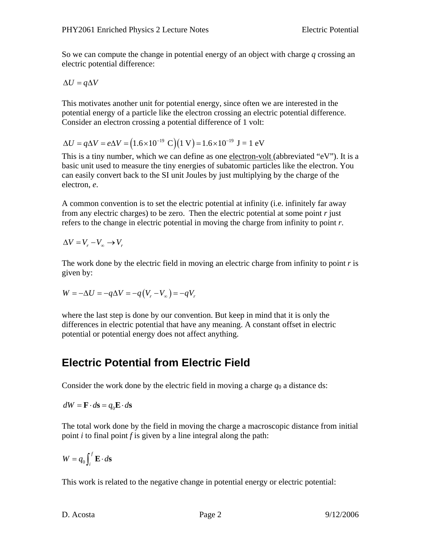So we can compute the change in potential energy of an object with charge *q* crossing an electric potential difference:

$$
\Delta U = q \Delta V
$$

This motivates another unit for potential energy, since often we are interested in the potential energy of a particle like the electron crossing an electric potential difference. Consider an electron crossing a potential difference of 1 volt:

$$
\Delta U = q \Delta V = e \Delta V = (1.6 \times 10^{-19} \text{ C})(1 \text{ V}) = 1.6 \times 10^{-19} \text{ J} = 1 \text{ eV}
$$

This is a tiny number, which we can define as one electron-volt (abbreviated "eV"). It is a basic unit used to measure the tiny energies of subatomic particles like the electron. You can easily convert back to the SI unit Joules by just multiplying by the charge of the electron, *e*.

A common convention is to set the electric potential at infinity (i.e. infinitely far away from any electric charges) to be zero. Then the electric potential at some point *r* just refers to the change in electric potential in moving the charge from infinity to point *r*.

$$
\Delta V = V_r - V_{\infty} \rightarrow V_r
$$

The work done by the electric field in moving an electric charge from infinity to point *r* is given by:

$$
W = -\Delta U = -q\Delta V = -q(V_r - V_\infty) = -qV_r
$$

where the last step is done by our convention. But keep in mind that it is only the differences in electric potential that have any meaning. A constant offset in electric potential or potential energy does not affect anything.

### **Electric Potential from Electric Field**

Consider the work done by the electric field in moving a charge  $q_0$  a distance ds:

 $dW = \mathbf{F} \cdot d\mathbf{s} = q_0 \mathbf{E} \cdot d\mathbf{s}$ 

The total work done by the field in moving the charge a macroscopic distance from initial point *i* to final point *f* is given by a line integral along the path:

$$
W = q_0 \int_i^f \mathbf{E} \cdot d\mathbf{s}
$$

This work is related to the negative change in potential energy or electric potential: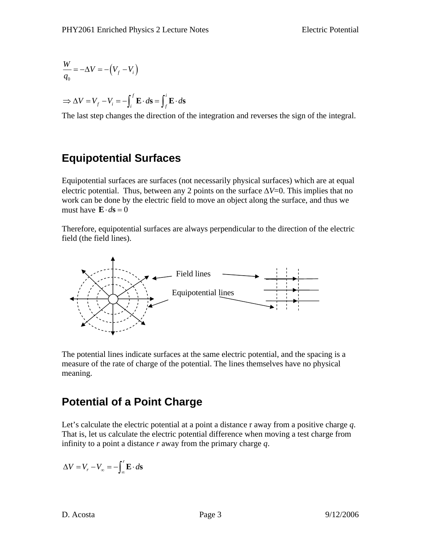$$
\frac{W}{q_0} = -\Delta V = -\left(V_f - V_i\right)
$$

$$
\Rightarrow \Delta V = V_f - V_i = -\int_i^f \mathbf{E} \cdot d\mathbf{s} = \int_f^i \mathbf{E} \cdot d\mathbf{s}
$$

The last step changes the direction of the integration and reverses the sign of the integral.

# **Equipotential Surfaces**

Equipotential surfaces are surfaces (not necessarily physical surfaces) which are at equal electric potential. Thus, between any 2 points on the surface  $\Delta V = 0$ . This implies that no work can be done by the electric field to move an object along the surface, and thus we must have  $\mathbf{E} \cdot d\mathbf{s} = 0$ 

Therefore, equipotential surfaces are always perpendicular to the direction of the electric field (the field lines).



The potential lines indicate surfaces at the same electric potential, and the spacing is a measure of the rate of charge of the potential. The lines themselves have no physical meaning.

# **Potential of a Point Charge**

Let's calculate the electric potential at a point a distance r away from a positive charge *q*. That is, let us calculate the electric potential difference when moving a test charge from infinity to a point a distance *r* away from the primary charge *q*.

$$
\Delta V = V_r - V_{\infty} = -\int_{-\infty}^{r} \mathbf{E} \cdot d\mathbf{s}
$$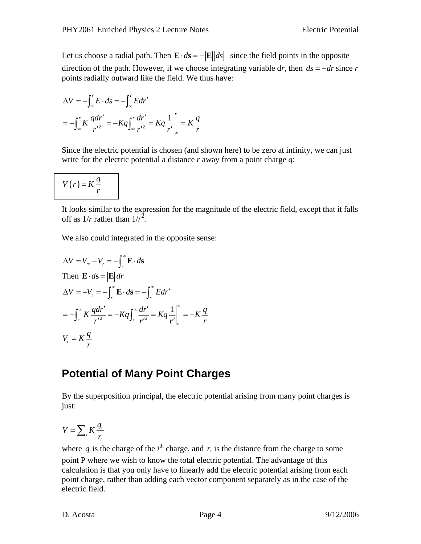Let us choose a radial path. Then  $\mathbf{E} \cdot d\mathbf{s} = -|\mathbf{E}||ds|$  since the field points in the opposite direction of the path. However, if we choose integrating variable dr, then  $ds = -dr$  since r points radially outward like the field. We thus have:

$$
\Delta V = -\int_{-\infty}^{r} E \cdot ds = -\int_{-\infty}^{r} E dr'
$$
  
= 
$$
-\int_{-\infty}^{r} K \frac{q dr'}{r'^2} = -Kq \int_{-\infty}^{r} \frac{dr'}{r'^2} = Kq \frac{1}{r'} \bigg|_{-\infty}^{r} = K \frac{q}{r}
$$

Since the electric potential is chosen (and shown here) to be zero at infinity, we can just write for the electric potential a distance *r* away from a point charge *q*:

$$
V(r) = K \frac{q}{r}
$$

It looks similar to the expression for the magnitude of the electric field, except that it falls off as  $1/r$  rather than  $1/r^2$ .

We also could integrated in the opposite sense:

$$
\Delta V = V_{\infty} - V_r = -\int_r^{\infty} \mathbf{E} \cdot d\mathbf{s}
$$
  
\nThen  $\mathbf{E} \cdot d\mathbf{s} = |\mathbf{E}| dr$   
\n
$$
\Delta V = -V_r = -\int_r^{\infty} \mathbf{E} \cdot d\mathbf{s} = -\int_r^{\infty} E dr'
$$
  
\n
$$
= -\int_r^{\infty} K \frac{q dr'}{r'^2} = -Kq \int_r^{\infty} \frac{dr'}{r'^2} = Kq \frac{1}{r'} \Big|_r^{\infty} = -K \frac{q}{r}
$$
  
\n
$$
V_r = K \frac{q}{r}
$$

### **Potential of Many Point Charges**

By the superposition principal, the electric potential arising from many point charges is just:

$$
V = \sum_i K \frac{q_i}{r_i}
$$

where  $q_i$  is the charge of the  $i^{\text{th}}$  charge, and  $r_i$  is the distance from the charge to some point P where we wish to know the total electric potential. The advantage of this calculation is that you only have to linearly add the electric potential arising from each point charge, rather than adding each vector component separately as in the case of the electric field.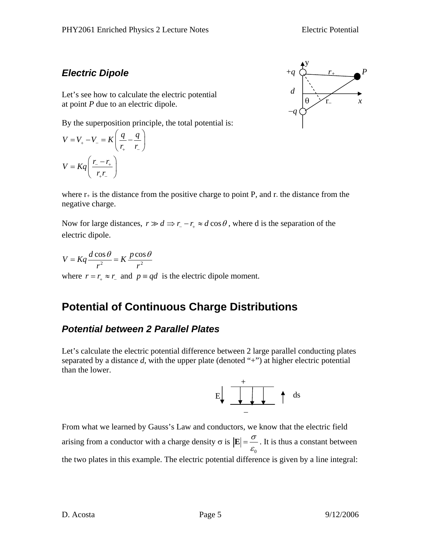### *Electric Dipole*

Let's see how to calculate the electric potential at point *P* due to an electric dipole.

By the superposition principle, the total potential is:

$$
V = V_{+} - V_{-} = K \left(\frac{q}{r_{+}} - \frac{q}{r_{-}}\right)
$$

$$
V = Kq \left(\frac{r_{-} - r_{+}}{r_{+}r_{-}}\right)
$$



where  $r_{+}$  is the distance from the positive charge to point P, and r. the distance from the negative charge.

Now for large distances,  $r \gg d \Rightarrow r - r_+ \approx d \cos \theta$ , where d is the separation of the electric dipole.

 $V = Kq \frac{d \cos \theta}{r^2} = K \frac{p \cos \theta}{r^2}$  $r^2$  *r*  $Kq \frac{d \cos \theta}{r^2} = K \frac{p \cos \theta}{r^2}$ where  $r = r_+ \approx r_-$  and  $p \equiv qd$  is the electric dipole moment.

## **Potential of Continuous Charge Distributions**

### *Potential between 2 Parallel Plates*

Let's calculate the electric potential difference between 2 large parallel conducting plates separated by a distance d, with the upper plate (denoted "+") at higher electric potential than the lower.



From what we learned by Gauss's Law and conductors, we know that the electric field arising from a conductor with a charge density  $\sigma$  is  $\mathbf{0}$ σ  $\mathbf{E} = \frac{\mathbf{E}}{\varepsilon_0}$ . It is thus a constant between the two plates in this example. The electric potential difference is given by a line integral: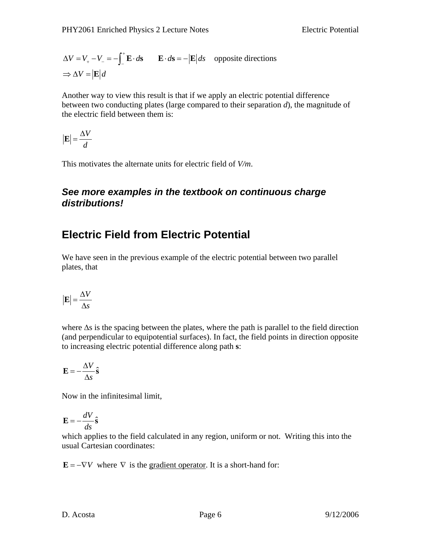$$
\Delta V = V_{+} - V_{-} = -\int_{-}^{+} \mathbf{E} \cdot d\mathbf{s} \qquad \mathbf{E} \cdot d\mathbf{s} = -|\mathbf{E}| ds \quad \text{opposite directions}
$$

$$
\Rightarrow \Delta V = |\mathbf{E}| d
$$

Another way to view this result is that if we apply an electric potential difference between two conducting plates (large compared to their separation *d*), the magnitude of the electric field between them is:

$$
\left|\mathbf{E}\right| = \frac{\Delta V}{d}
$$

This motivates the alternate units for electric field of *V/m*.

#### *See more examples in the textbook on continuous charge distributions!*

### **Electric Field from Electric Potential**

We have seen in the previous example of the electric potential between two parallel plates, that

$$
\left|\mathbf{E}\right| = \frac{\Delta V}{\Delta s}
$$

where  $\Delta s$  is the spacing between the plates, where the path is parallel to the field direction (and perpendicular to equipotential surfaces). In fact, the field points in direction opposite to increasing electric potential difference along path **s**:

$$
\mathbf{E} = -\frac{\Delta V}{\Delta s}\hat{\mathbf{s}}
$$

Now in the infinitesimal limit,

$$
\mathbf{E} = -\frac{dV}{ds}\hat{\mathbf{s}}
$$

which applies to the field calculated in any region, uniform or not. Writing this into the usual Cartesian coordinates:

 $\mathbf{E} = -\nabla V$  where  $\nabla$  is the gradient operator. It is a short-hand for: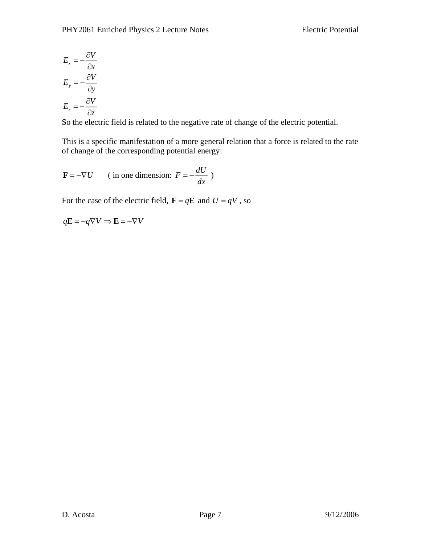$$
E_x = -\frac{\partial V}{\partial x}
$$

$$
E_y = -\frac{\partial V}{\partial y}
$$

$$
E_z = -\frac{\partial V}{\partial z}
$$

So the electric field is related to the negative rate of change of the electric potential.

This is a specific manifestation of a more general relation that a force is related to the rate of change of the corresponding potential energy:

$$
\mathbf{F} = -\nabla U \qquad \text{(in one dimension: } F = -\frac{dU}{dx} \text{)}
$$

For the case of the electric field,  $\mathbf{F} = q\mathbf{E}$  and  $U = qV$ , so

$$
q\mathbf{E} = -q\nabla V \Rightarrow \mathbf{E} = -\nabla V
$$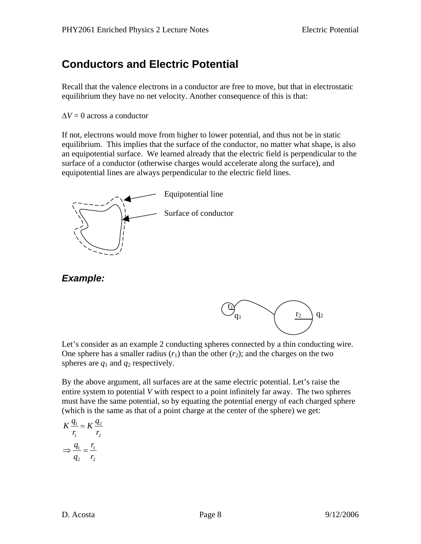## **Conductors and Electric Potential**

Recall that the valence electrons in a conductor are free to move, but that in electrostatic equilibrium they have no net velocity. Another consequence of this is that:

 $\Delta V = 0$  across a conductor

If not, electrons would move from higher to lower potential, and thus not be in static equilibrium. This implies that the surface of the conductor, no matter what shape, is also an equipotential surface. We learned already that the electric field is perpendicular to the surface of a conductor (otherwise charges would accelerate along the surface), and equipotential lines are always perpendicular to the electric field lines.



*Example:* 



 $\vec{\mathbf{n}}$  $q_1$ 

By the above argument, all surfaces are at the same electric potential. Let's raise the entire system to potential *V* with respect to a point infinitely far away. The two spheres must have the same potential, so by equating the potential energy of each charged sphere (which is the same as that of a point charge at the center of the sphere) we get:

$$
K \frac{q_1}{r_1} = K \frac{q_2}{r_2}
$$

$$
\Rightarrow \frac{q_1}{q_2} = \frac{r_1}{r_2}
$$

 $r_2$   $q_2$